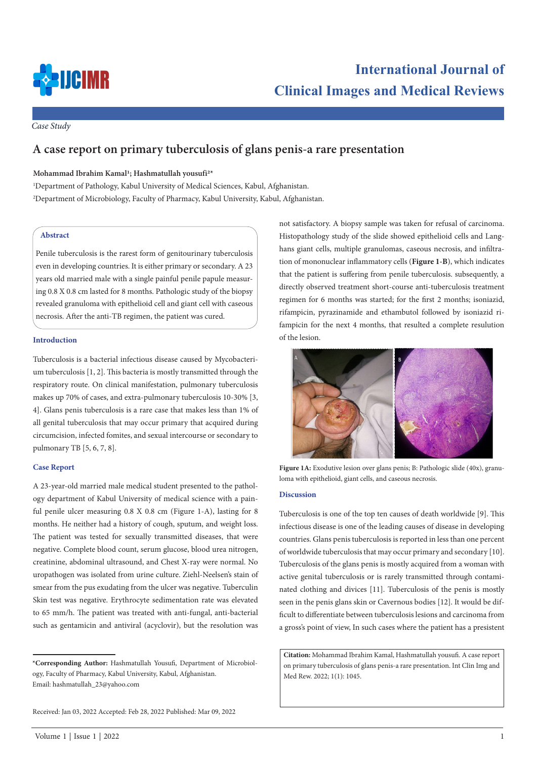

*Case Study*

# **A case report on primary tuberculosis of glans penis-a rare presentation**

## **Mohammad Ibrahim Kamal1; Hashmatullah yousufi2\***

1 Department of Pathology, Kabul University of Medical Sciences, Kabul, Afghanistan. 2 Department of Microbiology, Faculty of Pharmacy, Kabul University, Kabul, Afghanistan.

## **Abstract**

Penile tuberculosis is the rarest form of genitourinary tuberculosis even in developing countries. It is either primary or secondary. A 23 years old married male with a single painful penile papule measuring 0.8 X 0.8 cm lasted for 8 months. Pathologic study of the biopsy revealed granuloma with epithelioid cell and giant cell with caseous necrosis. After the anti-TB regimen, the patient was cured.

### **Introduction**

Tuberculosis is a bacterial infectious disease caused by Mycobacterium tuberculosis [1, 2]. This bacteria is mostly transmitted through the respiratory route. On clinical manifestation, pulmonary tuberculosis makes up 70% of cases, and extra-pulmonary tuberculosis 10-30% [3, 4]. Glans penis tuberculosis is a rare case that makes less than 1% of all genital tuberculosis that may occur primary that acquired during circumcision, infected fomites, and sexual intercourse or secondary to pulmonary TB [5, 6, 7, 8].

#### **Case Report**

A 23-year-old married male medical student presented to the pathology department of Kabul University of medical science with a painful penile ulcer measuring 0.8 X 0.8 cm (Figure 1-A), lasting for 8 months. He neither had a history of cough, sputum, and weight loss. The patient was tested for sexually transmitted diseases, that were negative. Complete blood count, serum glucose, blood urea nitrogen, creatinine, abdominal ultrasound, and Chest X-ray were normal. No uropathogen was isolated from urine culture. Ziehl-Neelsen's stain of smear from the pus exudating from the ulcer was negative. Tuberculin Skin test was negative. Erythrocyte sedimentation rate was elevated to 65 mm/h. The patient was treated with anti-fungal, anti-bacterial such as gentamicin and antiviral (acyclovir), but the resolution was

not satisfactory. A biopsy sample was taken for refusal of carcinoma. Histopathology study of the slide showed epithelioid cells and Langhans giant cells, multiple granulomas, caseous necrosis, and infiltration of mononuclear inflammatory cells (**Figure 1-B**), which indicates that the patient is suffering from penile tuberculosis. subsequently, a directly observed treatment short-course anti-tuberculosis treatment regimen for 6 months was started; for the first 2 months; isoniazid, rifampicin, pyrazinamide and ethambutol followed by isoniazid rifampicin for the next 4 months, that resulted a complete resulution of the lesion.



**Figure 1A:** Exodutive lesion over glans penis; B: Pathologic slide (40x), granuloma with epithelioid, giant cells, and caseous necrosis.

## **Discussion**

Tuberculosis is one of the top ten causes of death worldwide [9]. This infectious disease is one of the leading causes of disease in developing countries. Glans penis tuberculosis is reported in less than one percent of worldwide tuberculosis that may occur primary and secondary [10]. Tuberculosis of the glans penis is mostly acquired from a woman with active genital tuberculosis or is rarely transmitted through contaminated clothing and divices [11]. Tuberculosis of the penis is mostly seen in the penis glans skin or Cavernous bodies [12]. It would be difficult to differentiate between tuberculosis lesions and carcinoma from a gross's point of view, In such cases where the patient has a presistent

**Citation:** Mohammad Ibrahim Kamal, Hashmatullah yousufi. A case report on primary tuberculosis of glans penis-a rare presentation. Int Clin Img and Med Rew. 2022; 1(1): 1045.

**<sup>\*</sup>Corresponding Author:** Hashmatullah Yousufi, Department of Microbiology, Faculty of Pharmacy, Kabul University, Kabul, Afghanistan. Email: hashmatullah\_23@yahoo.com

Received: Jan 03, 2022 Accepted: Feb 28, 2022 Published: Mar 09, 2022